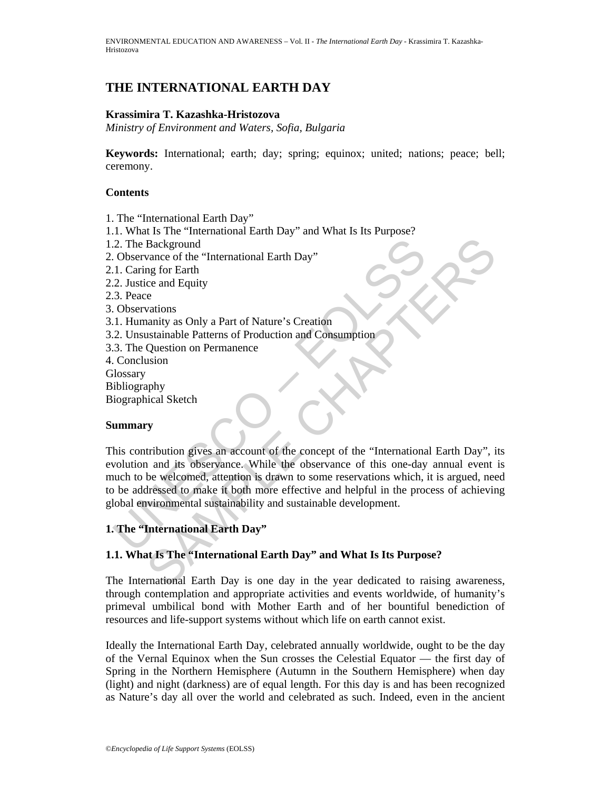# **THE INTERNATIONAL EARTH DAY**

### **Krassimira T. Kazashka-Hristozova**

*Ministry of Environment and Waters, Sofia, Bulgaria* 

**Keywords:** International; earth; day; spring; equinox; united; nations; peace; bell; ceremony.

### **Contents**

- 1. The "International Earth Day"
- 1.1. What Is The "International Earth Day" and What Is Its Purpose?
- 1.2. The Background
- 2. Observance of the "International Earth Day"
- 2.1. Caring for Earth
- 2.2. Justice and Equity
- 2.3. Peace
- 3. Observations
- 3.1. Humanity as Only a Part of Nature's Creation
- 3.2. Unsustainable Patterns of Production and Consumption
- 3.3. The Question on Permanence
- 4. Conclusion
- **Glossary**
- Bibliography
- Biographical Sketch

## **Summary**

2. The Background<br>
2. The Background<br>
2. Ustrig for Earth<br>
1. Carrier of the "International Earth Day"<br>
2. Ustrice and Equity<br>
3. Peace<br>
2. Unsustainable Patterns of Production and Consumption<br>
3. The Question on Permanenc Background<br>
mg for Earth<br>
eng of the "International Earth Day"<br>
mg for Earth<br>
ee and Equity<br>
e<br>
earth can ality as Only a Part of Nature's Creation<br>
anality as Only a Part of Nature's Creation<br>
stainable Patterns of Produc This contribution gives an account of the concept of the "International Earth Day", its evolution and its observance. While the observance of this one-day annual event is much to be welcomed, attention is drawn to some reservations which, it is argued, need to be addressed to make it both more effective and helpful in the process of achieving global environmental sustainability and sustainable development.

## **1. The "International Earth Day"**

## **1.1. What Is The "International Earth Day" and What Is Its Purpose?**

The International Earth Day is one day in the year dedicated to raising awareness, through contemplation and appropriate activities and events worldwide, of humanity's primeval umbilical bond with Mother Earth and of her bountiful benediction of resources and life-support systems without which life on earth cannot exist.

Ideally the International Earth Day, celebrated annually worldwide, ought to be the day of the Vernal Equinox when the Sun crosses the Celestial Equator — the first day of Spring in the Northern Hemisphere (Autumn in the Southern Hemisphere) when day (light) and night (darkness) are of equal length. For this day is and has been recognized as Nature's day all over the world and celebrated as such. Indeed, even in the ancient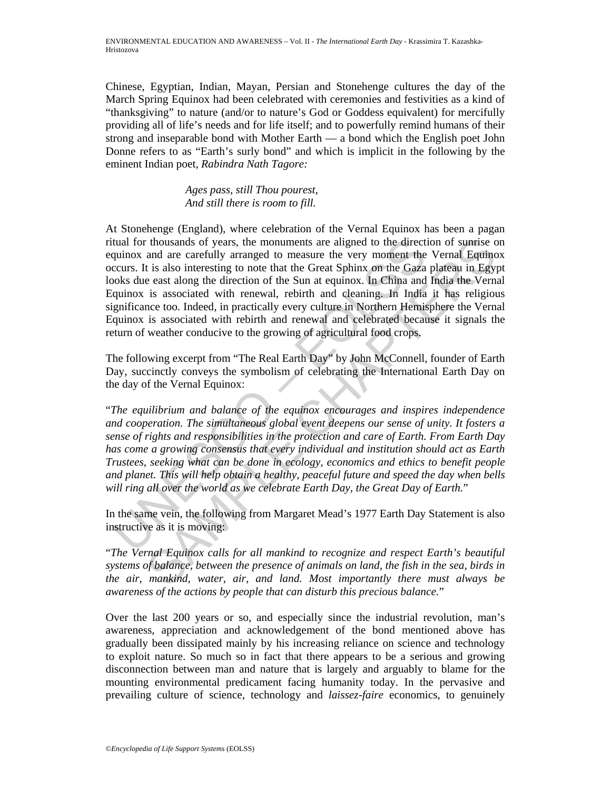Chinese, Egyptian, Indian, Mayan, Persian and Stonehenge cultures the day of the March Spring Equinox had been celebrated with ceremonies and festivities as a kind of "thanksgiving" to nature (and/or to nature's God or Goddess equivalent) for mercifully providing all of life's needs and for life itself; and to powerfully remind humans of their strong and inseparable bond with Mother Earth — a bond which the English poet John Donne refers to as "Earth's surly bond" and which is implicit in the following by the eminent Indian poet, *Rabindra Nath Tagore:* 

> *Ages pass, still Thou pourest, And still there is room to fill.*

tual for thousands of years, the monuments are aligned to the direct<br>cuinox and are carefully arranged to measure the very moment the<br>cocurs. It is also interesting to note that the Great Sphinx on the Gaza<br>ooks due east a thousands of years, the monuments are aligned to the direction of sunrise of the and are carefully arranged to measure the very moment the Vernal Equinos. It is also interesting to note that the Great Sphinx on the Gaza p At Stonehenge (England), where celebration of the Vernal Equinox has been a pagan ritual for thousands of years, the monuments are aligned to the direction of sunrise on equinox and are carefully arranged to measure the very moment the Vernal Equinox occurs. It is also interesting to note that the Great Sphinx on the Gaza plateau in Egypt looks due east along the direction of the Sun at equinox. In China and India the Vernal Equinox is associated with renewal, rebirth and cleaning. In India it has religious significance too. Indeed, in practically every culture in Northern Hemisphere the Vernal Equinox is associated with rebirth and renewal and celebrated because it signals the return of weather conducive to the growing of agricultural food crops.

The following excerpt from "The Real Earth Day" by John McConnell, founder of Earth Day, succinctly conveys the symbolism of celebrating the International Earth Day on the day of the Vernal Equinox:

"*The equilibrium and balance of the equinox encourages and inspires independence and cooperation. The simultaneous global event deepens our sense of unity. It fosters a sense of rights and responsibilities in the protection and care of Earth. From Earth Day has come a growing consensus that every individual and institution should act as Earth Trustees, seeking what can be done in ecology, economics and ethics to benefit people and planet. This will help obtain a healthy, peaceful future and speed the day when bells will ring all over the world as we celebrate Earth Day, the Great Day of Earth.*"

In the same vein, the following from Margaret Mead's 1977 Earth Day Statement is also instructive as it is moving:

"*The Vernal Equinox calls for all mankind to recognize and respect Earth's beautiful systems of balance, between the presence of animals on land, the fish in the sea, birds in the air, mankind, water, air, and land. Most importantly there must always be awareness of the actions by people that can disturb this precious balance.*"

Over the last 200 years or so, and especially since the industrial revolution, man's awareness, appreciation and acknowledgement of the bond mentioned above has gradually been dissipated mainly by his increasing reliance on science and technology to exploit nature. So much so in fact that there appears to be a serious and growing disconnection between man and nature that is largely and arguably to blame for the mounting environmental predicament facing humanity today. In the pervasive and prevailing culture of science, technology and *laissez-faire* economics, to genuinely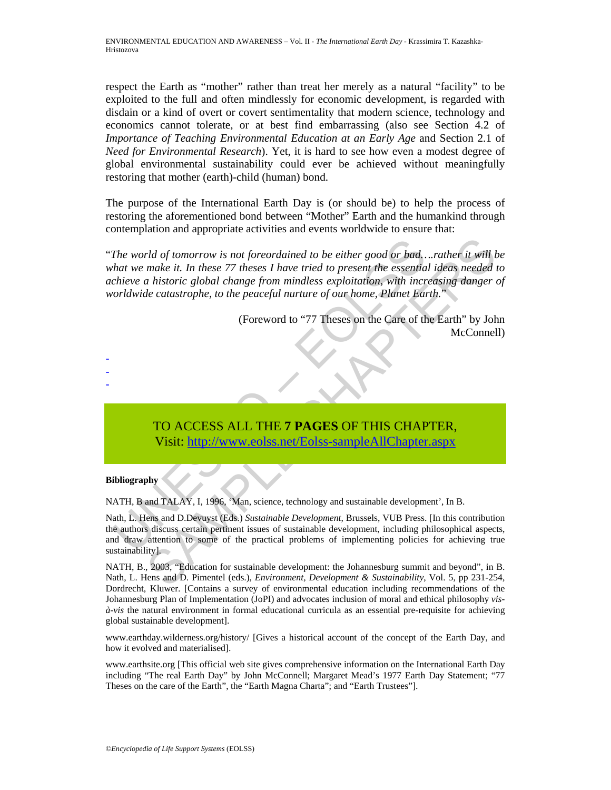respect the Earth as "mother" rather than treat her merely as a natural "facility" to be exploited to the full and often mindlessly for economic development, is regarded with disdain or a kind of overt or covert sentimentality that modern science, technology and economics cannot tolerate, or at best find embarrassing (also see Section 4.2 of *Importance of Teaching Environmental Education at an Early Age* and Section 2.1 of *Need for Environmental Research*). Yet, it is hard to see how even a modest degree of global environmental sustainability could ever be achieved without meaningfully restoring that mother (earth)-child (human) bond.

The purpose of the International Earth Day is (or should be) to help the process of restoring the aforementioned bond between "Mother" Earth and the humankind through contemplation and appropriate activities and events worldwide to ensure that:

The world of tomorrow is not foreordained to be either good or bad,<br>hat we make it. In these 77 theses I have tried to present the essentia<br>chieve a historic global change from mindless exploitation, with incrorlavide cata *rd of tomorrow is not foreordained to be either good or bad....rather it will tracke it. In these 77 theses I have tried to present the essential ideas needed a<br>
<i>nistoric global change from mindless exploitation, with in* "*The world of tomorrow is not foreordained to be either good or bad….rather it will be what we make it. In these 77 theses I have tried to present the essential ideas needed to achieve a historic global change from mindless exploitation, with increasing danger of worldwide catastrophe, to the peaceful nurture of our home, Planet Earth.*"

 (Foreword to "77 Theses on the Care of the Earth" by John McConnell)

# TO ACCESS ALL THE **7 PAGES** OF THIS CHAPTER, Visit: http://www.eolss.net/Eolss-sampleAllChapter.aspx

#### **Bibliography**

- - -

NATH, B and TALAY, I, 1996, 'Man, science, technology and sustainable development', In B.

Nath, L. Hens and D.Devuyst (Eds.) *Sustainable Development*, Brussels, VUB Press. [In this contribution the authors discuss certain pertinent issues of sustainable development, including philosophical aspects, and draw attention to some of the practical problems of implementing policies for achieving true sustainability].

NATH, B., 2003, "Education for sustainable development: the Johannesburg summit and beyond", in B. Nath, L. Hens and D. Pimentel (eds.), *Environment, Development & Sustainability*, Vol. 5, pp 231-254, Dordrecht, Kluwer. [Contains a survey of environmental education including recommendations of the Johannesburg Plan of Implementation (JoPI) and advocates inclusion of moral and ethical philosophy *visà-vis* the natural environment in formal educational curricula as an essential pre-requisite for achieving global sustainable development].

www.earthday.wilderness.org/history/ [Gives a historical account of the concept of the Earth Day, and how it evolved and materialised].

www.earthsite.org [This official web site gives comprehensive information on the International Earth Day including "The real Earth Day" by John McConnell; Margaret Mead's 1977 Earth Day Statement; "77 Theses on the care of the Earth", the "Earth Magna Charta"; and "Earth Trustees"].